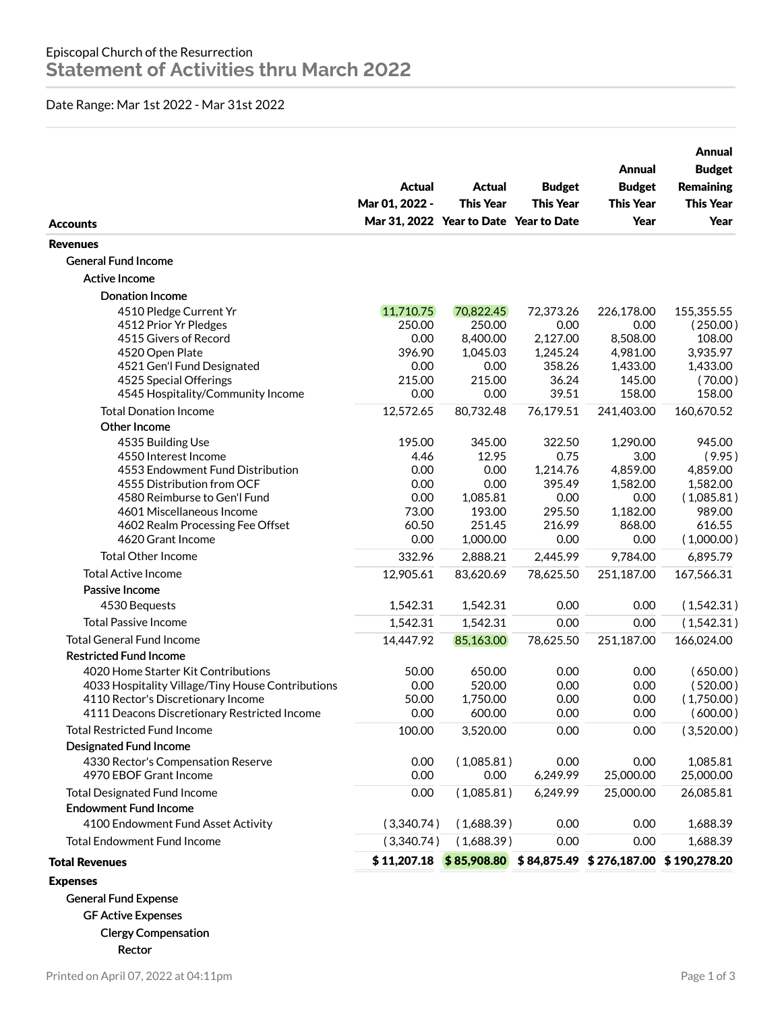## Date Range: Mar 1st 2022 - Mar 31st 2022

| <b>Accounts</b>                                              | Actual<br>Mar 01, 2022 -<br>Mar 31, 2022 Year to Date Year to Date | Actual<br><b>This Year</b> | <b>Budget</b><br><b>This Year</b> | Annual<br><b>Budget</b><br><b>This Year</b><br>Year | Annual<br><b>Budget</b><br><b>Remaining</b><br><b>This Year</b><br>Year |
|--------------------------------------------------------------|--------------------------------------------------------------------|----------------------------|-----------------------------------|-----------------------------------------------------|-------------------------------------------------------------------------|
| <b>Revenues</b>                                              |                                                                    |                            |                                   |                                                     |                                                                         |
| <b>General Fund Income</b>                                   |                                                                    |                            |                                   |                                                     |                                                                         |
| <b>Active Income</b>                                         |                                                                    |                            |                                   |                                                     |                                                                         |
| <b>Donation Income</b>                                       |                                                                    |                            |                                   |                                                     |                                                                         |
| 4510 Pledge Current Yr                                       | 11,710.75                                                          | 70,822.45                  | 72,373.26                         | 226,178.00                                          | 155,355.55                                                              |
| 4512 Prior Yr Pledges                                        | 250.00                                                             | 250.00                     | 0.00                              | 0.00                                                | (250.00)                                                                |
| 4515 Givers of Record                                        | 0.00                                                               | 8,400.00                   | 2,127.00                          | 8,508.00                                            | 108.00                                                                  |
| 4520 Open Plate                                              | 396.90                                                             | 1,045.03                   | 1,245.24                          | 4,981.00                                            | 3,935.97                                                                |
| 4521 Gen'l Fund Designated                                   | 0.00                                                               | 0.00                       | 358.26                            | 1,433.00                                            | 1,433.00                                                                |
| 4525 Special Offerings                                       | 215.00                                                             | 215.00                     | 36.24                             | 145.00                                              | (70.00)                                                                 |
| 4545 Hospitality/Community Income                            | 0.00                                                               | 0.00                       | 39.51                             | 158.00                                              | 158.00                                                                  |
| <b>Total Donation Income</b>                                 | 12,572.65                                                          | 80,732.48                  | 76,179.51                         | 241,403.00                                          | 160,670.52                                                              |
| Other Income                                                 |                                                                    |                            |                                   |                                                     |                                                                         |
| 4535 Building Use                                            | 195.00                                                             | 345.00                     | 322.50                            | 1,290.00                                            | 945.00                                                                  |
| 4550 Interest Income                                         | 4.46                                                               | 12.95                      | 0.75                              | 3.00                                                | (9.95)                                                                  |
| 4553 Endowment Fund Distribution                             | 0.00                                                               | 0.00                       | 1,214.76                          | 4,859.00                                            | 4,859.00                                                                |
| 4555 Distribution from OCF                                   | 0.00                                                               | 0.00                       | 395.49                            | 1,582.00                                            | 1,582.00                                                                |
| 4580 Reimburse to Gen'l Fund                                 | 0.00                                                               | 1,085.81                   | 0.00                              | 0.00                                                | (1,085.81)                                                              |
| 4601 Miscellaneous Income                                    | 73.00<br>60.50                                                     | 193.00<br>251.45           | 295.50<br>216.99                  | 1,182.00<br>868.00                                  | 989.00<br>616.55                                                        |
| 4602 Realm Processing Fee Offset<br>4620 Grant Income        | 0.00                                                               | 1,000.00                   | 0.00                              | 0.00                                                | (1,000.00)                                                              |
| <b>Total Other Income</b>                                    | 332.96                                                             | 2,888.21                   | 2,445.99                          | 9,784.00                                            | 6,895.79                                                                |
| <b>Total Active Income</b>                                   |                                                                    |                            |                                   |                                                     |                                                                         |
|                                                              | 12,905.61                                                          | 83,620.69                  | 78,625.50                         | 251,187.00                                          | 167,566.31                                                              |
| Passive Income                                               |                                                                    |                            |                                   |                                                     |                                                                         |
| 4530 Bequests                                                | 1,542.31                                                           | 1,542.31                   | 0.00                              | 0.00                                                | (1,542.31)                                                              |
| <b>Total Passive Income</b>                                  | 1,542.31                                                           | 1,542.31                   | 0.00                              | 0.00                                                | (1,542.31)                                                              |
| <b>Total General Fund Income</b>                             | 14,447.92                                                          | 85,163.00                  | 78,625.50                         | 251,187.00                                          | 166,024.00                                                              |
| <b>Restricted Fund Income</b>                                |                                                                    |                            |                                   |                                                     |                                                                         |
| 4020 Home Starter Kit Contributions                          | 50.00                                                              | 650.00                     | 0.00                              | 0.00                                                | (650.00)                                                                |
| 4033 Hospitality Village/Tiny House Contributions            | 0.00                                                               | 520.00                     | 0.00                              | 0.00                                                | (520.00)                                                                |
| 4110 Rector's Discretionary Income                           | 50.00                                                              | 1,750.00                   | 0.00                              | 0.00                                                | (1,750.00)                                                              |
| 4111 Deacons Discretionary Restricted Income                 | 0.00                                                               | 600.00                     | 0.00                              | 0.00                                                | (600.00)                                                                |
| <b>Total Restricted Fund Income</b>                          | 100.00                                                             | 3,520.00                   | 0.00                              | 0.00                                                | (3,520.00)                                                              |
| Designated Fund Income                                       |                                                                    |                            |                                   |                                                     |                                                                         |
| 4330 Rector's Compensation Reserve<br>4970 EBOF Grant Income | 0.00<br>0.00                                                       | (1,085.81)<br>0.00         | 0.00<br>6,249.99                  | 0.00<br>25,000.00                                   | 1,085.81<br>25,000.00                                                   |
| <b>Total Designated Fund Income</b>                          | 0.00                                                               | (1,085.81)                 | 6,249.99                          | 25,000.00                                           | 26,085.81                                                               |
| <b>Endowment Fund Income</b>                                 |                                                                    |                            |                                   |                                                     |                                                                         |
| 4100 Endowment Fund Asset Activity                           | (3,340.74)                                                         | (1,688.39)                 | 0.00                              | 0.00                                                | 1,688.39                                                                |
| <b>Total Endowment Fund Income</b>                           | (3,340.74)                                                         | (1,688.39)                 | 0.00                              | 0.00                                                | 1,688.39                                                                |
| <b>Total Revenues</b>                                        |                                                                    |                            |                                   |                                                     | $$11,207.18$ $$85,908.80$ $$84,875.49$ $$276,187.00$ $$190,278.20$      |
| <b>Expenses</b>                                              |                                                                    |                            |                                   |                                                     |                                                                         |
| <b>General Fund Expense</b>                                  |                                                                    |                            |                                   |                                                     |                                                                         |
| <b>GF Active Expenses</b>                                    |                                                                    |                            |                                   |                                                     |                                                                         |
|                                                              |                                                                    |                            |                                   |                                                     |                                                                         |
| <b>Clergy Compensation</b>                                   |                                                                    |                            |                                   |                                                     |                                                                         |

Printed on April 07, 2022 at 04:11pm Page 1 of 3

Rector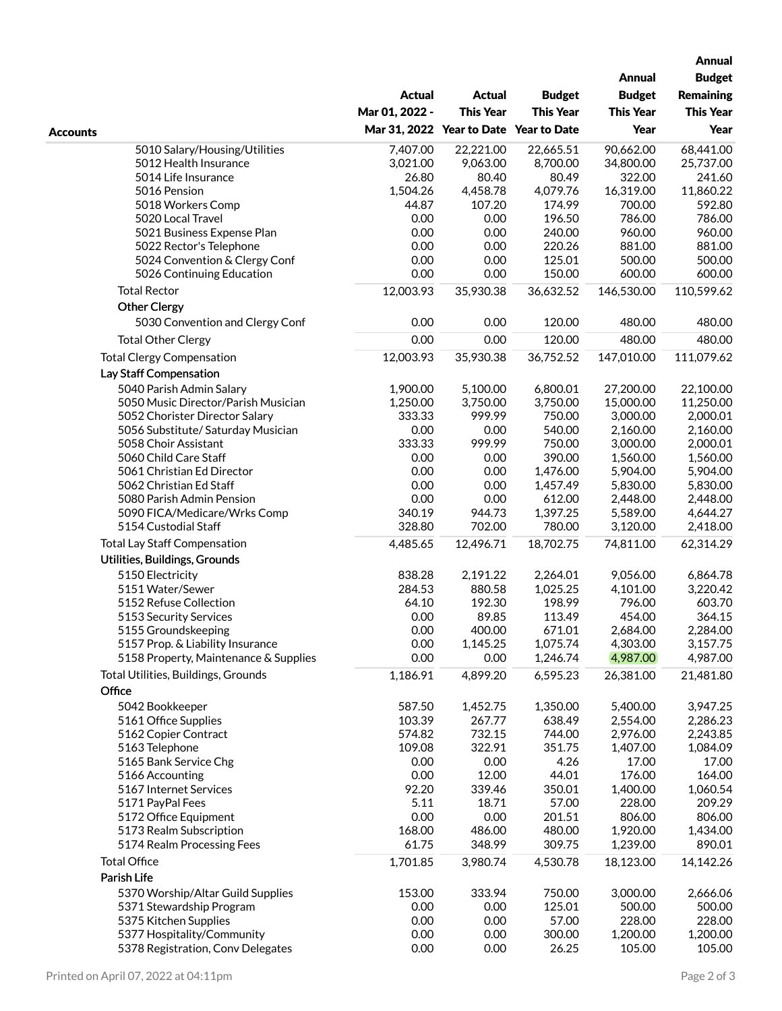|                                                                 |                                        |                    |                      |                  | <b>Annual</b><br><b>Budget</b> |
|-----------------------------------------------------------------|----------------------------------------|--------------------|----------------------|------------------|--------------------------------|
|                                                                 |                                        |                    |                      | <b>Annual</b>    |                                |
|                                                                 | <b>Actual</b>                          | Actual             | <b>Budget</b>        | <b>Budget</b>    | <b>Remaining</b>               |
|                                                                 |                                        |                    |                      |                  |                                |
|                                                                 | Mar 01, 2022 -                         | <b>This Year</b>   | <b>This Year</b>     | <b>This Year</b> | <b>This Year</b>               |
| <b>Accounts</b>                                                 | Mar 31, 2022 Year to Date Year to Date |                    |                      | Year             | Year                           |
| 5010 Salary/Housing/Utilities                                   | 7,407.00                               | 22,221.00          | 22,665.51            | 90,662.00        | 68,441.00                      |
| 5012 Health Insurance                                           | 3,021.00                               | 9,063.00           | 8,700.00             | 34,800.00        | 25,737.00                      |
| 5014 Life Insurance                                             | 26.80                                  | 80.40              | 80.49                | 322.00           | 241.60                         |
| 5016 Pension                                                    | 1,504.26                               | 4,458.78           | 4,079.76             | 16,319.00        | 11,860.22                      |
| 5018 Workers Comp                                               | 44.87                                  | 107.20             | 174.99               | 700.00           | 592.80                         |
| 5020 Local Travel                                               | 0.00                                   | 0.00               | 196.50               | 786.00           | 786.00                         |
| 5021 Business Expense Plan                                      | 0.00                                   | 0.00               | 240.00               | 960.00           | 960.00                         |
| 5022 Rector's Telephone                                         | 0.00                                   | 0.00               | 220.26               | 881.00           | 881.00                         |
| 5024 Convention & Clergy Conf                                   | 0.00                                   | 0.00               | 125.01               | 500.00           | 500.00                         |
| 5026 Continuing Education                                       | 0.00                                   | 0.00               | 150.00               | 600.00           | 600.00                         |
| <b>Total Rector</b>                                             | 12,003.93                              | 35,930.38          | 36,632.52            | 146,530.00       | 110,599.62                     |
| <b>Other Clergy</b>                                             |                                        |                    |                      |                  |                                |
| 5030 Convention and Clergy Conf                                 | 0.00                                   | 0.00               | 120.00               | 480.00           | 480.00                         |
| <b>Total Other Clergy</b>                                       | 0.00                                   | 0.00               | 120.00               | 480.00           | 480.00                         |
| <b>Total Clergy Compensation</b>                                | 12,003.93                              | 35,930.38          | 36,752.52            | 147,010.00       | 111,079.62                     |
| Lay Staff Compensation                                          |                                        |                    |                      |                  |                                |
|                                                                 |                                        | 5,100.00           |                      |                  |                                |
| 5040 Parish Admin Salary<br>5050 Music Director/Parish Musician | 1,900.00<br>1,250.00                   |                    | 6,800.01<br>3,750.00 | 27,200.00        | 22,100.00                      |
|                                                                 |                                        | 3,750.00<br>999.99 | 750.00               | 15,000.00        | 11,250.00                      |
| 5052 Chorister Director Salary                                  | 333.33                                 |                    | 540.00               | 3,000.00         | 2,000.01                       |
| 5056 Substitute/ Saturday Musician                              | 0.00<br>333.33                         | 0.00<br>999.99     | 750.00               | 2,160.00         | 2,160.00                       |
| 5058 Choir Assistant                                            |                                        |                    | 390.00               | 3,000.00         | 2,000.01                       |
| 5060 Child Care Staff                                           | 0.00                                   | 0.00               |                      | 1,560.00         | 1,560.00                       |
| 5061 Christian Ed Director                                      | 0.00                                   | 0.00               | 1,476.00             | 5,904.00         | 5,904.00                       |
| 5062 Christian Ed Staff                                         | 0.00                                   | 0.00               | 1,457.49             | 5,830.00         | 5,830.00                       |
| 5080 Parish Admin Pension                                       | 0.00                                   | 0.00               | 612.00               | 2,448.00         | 2,448.00                       |
| 5090 FICA/Medicare/Wrks Comp                                    | 340.19                                 | 944.73             | 1,397.25             | 5,589.00         | 4,644.27                       |
| 5154 Custodial Staff                                            | 328.80                                 | 702.00             | 780.00               | 3,120.00         | 2,418.00                       |
| <b>Total Lay Staff Compensation</b>                             | 4,485.65                               | 12,496.71          | 18,702.75            | 74,811.00        | 62,314.29                      |
| Utilities, Buildings, Grounds                                   |                                        |                    |                      |                  |                                |
| 5150 Electricity                                                | 838.28                                 | 2,191.22           | 2,264.01             | 9,056.00         | 6,864.78                       |
| 5151 Water/Sewer                                                | 284.53                                 | 880.58             | 1,025.25             | 4,101.00         | 3,220.42                       |
| 5152 Refuse Collection                                          | 64.10                                  | 192.30             | 198.99               | 796.00           | 603.70                         |
| 5153 Security Services                                          | 0.00                                   | 89.85              | 113.49               | 454.00           | 364.15                         |
| 5155 Groundskeeping                                             | 0.00                                   | 400.00             | 671.01               | 2,684.00         | 2,284.00                       |
| 5157 Prop. & Liability Insurance                                | 0.00                                   | 1,145.25           | 1,075.74             | 4,303.00         | 3,157.75                       |
| 5158 Property, Maintenance & Supplies                           | 0.00                                   | 0.00               | 1,246.74             | 4,987.00         | 4,987.00                       |
| Total Utilities, Buildings, Grounds                             | 1,186.91                               | 4,899.20           | 6,595.23             | 26,381.00        | 21,481.80                      |
| Office                                                          |                                        |                    |                      |                  |                                |
| 5042 Bookkeeper                                                 | 587.50                                 | 1,452.75           | 1,350.00             | 5,400.00         | 3,947.25                       |
| 5161 Office Supplies                                            | 103.39                                 | 267.77             | 638.49               | 2,554.00         | 2,286.23                       |
| 5162 Copier Contract                                            | 574.82                                 | 732.15             | 744.00               | 2,976.00         | 2,243.85                       |
| 5163 Telephone                                                  | 109.08                                 | 322.91             | 351.75               | 1,407.00         | 1,084.09                       |
| 5165 Bank Service Chg                                           | 0.00                                   | 0.00               | 4.26                 | 17.00            | 17.00                          |
| 5166 Accounting                                                 | 0.00                                   | 12.00              | 44.01                | 176.00           | 164.00                         |
| 5167 Internet Services                                          | 92.20                                  | 339.46             | 350.01               | 1,400.00         | 1,060.54                       |
| 5171 PayPal Fees                                                | 5.11                                   | 18.71              | 57.00                | 228.00           | 209.29                         |
| 5172 Office Equipment                                           | 0.00                                   | 0.00               | 201.51               | 806.00           | 806.00                         |
| 5173 Realm Subscription                                         | 168.00                                 | 486.00             | 480.00               | 1,920.00         | 1,434.00                       |
| 5174 Realm Processing Fees                                      | 61.75                                  | 348.99             | 309.75               | 1,239.00         | 890.01                         |
| <b>Total Office</b>                                             | 1,701.85                               | 3,980.74           | 4,530.78             | 18,123.00        | 14,142.26                      |
| Parish Life                                                     |                                        |                    |                      |                  |                                |
| 5370 Worship/Altar Guild Supplies                               | 153.00                                 | 333.94             | 750.00               | 3,000.00         | 2,666.06                       |
| 5371 Stewardship Program                                        | 0.00                                   | 0.00               | 125.01               | 500.00           | 500.00                         |
| 5375 Kitchen Supplies                                           | 0.00                                   | 0.00               | 57.00                | 228.00           | 228.00                         |
| 5377 Hospitality/Community                                      | 0.00                                   | 0.00               | 300.00               | 1,200.00         | 1,200.00                       |
| 5378 Registration, Conv Delegates                               | 0.00                                   | 0.00               | 26.25                | 105.00           | 105.00                         |
|                                                                 |                                        |                    |                      |                  |                                |